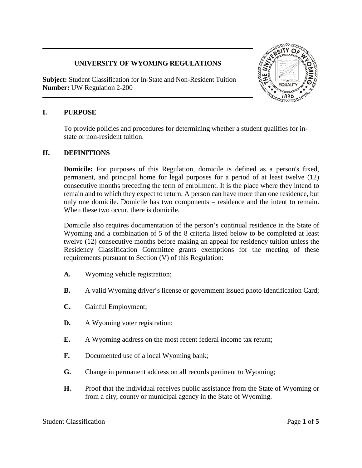# **UNIVERSITY OF WYOMING REGULATIONS**

**Subject:** Student Classification for In-State and Non-Resident Tuition **Number:** UW Regulation 2-200



### **I. PURPOSE**

To provide policies and procedures for determining whether a student qualifies for instate or non-resident tuition.

### **II. DEFINITIONS**

**Domicile:** For purposes of this Regulation, domicile is defined as a person's fixed, permanent, and principal home for legal purposes for a period of at least twelve (12) consecutive months preceding the term of enrollment. It is the place where they intend to remain and to which they expect to return. A person can have more than one residence, but only one domicile. Domicile has two components – residence and the intent to remain. When these two occur, there is domicile.

Domicile also requires documentation of the person's continual residence in the State of Wyoming and a combination of 5 of the 8 criteria listed below to be completed at least twelve (12) consecutive months before making an appeal for residency tuition unless the Residency Classification Committee grants exemptions for the meeting of these requirements pursuant to Section (V) of this Regulation:

- **A.** Wyoming vehicle registration;
- **B.** A valid Wyoming driver's license or government issued photo Identification Card;
- **C.** Gainful Employment;
- **D.** A Wyoming voter registration;
- **E.** A Wyoming address on the most recent federal income tax return;
- **F.** Documented use of a local Wyoming bank;
- **G.** Change in permanent address on all records pertinent to Wyoming;
- **H.** Proof that the individual receives public assistance from the State of Wyoming or from a city, county or municipal agency in the State of Wyoming.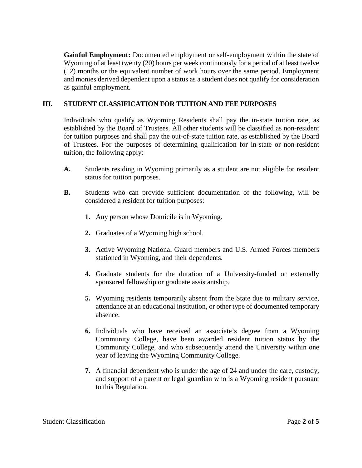**Gainful Employment:** Documented employment or self-employment within the state of Wyoming of at least twenty (20) hours per week continuously for a period of at least twelve (12) months or the equivalent number of work hours over the same period. Employment and monies derived dependent upon a status as a student does not qualify for consideration as gainful employment.

## **III. STUDENT CLASSIFICATION FOR TUITION AND FEE PURPOSES**

Individuals who qualify as Wyoming Residents shall pay the in-state tuition rate, as established by the Board of Trustees. All other students will be classified as non-resident for tuition purposes and shall pay the out-of-state tuition rate, as established by the Board of Trustees. For the purposes of determining qualification for in-state or non-resident tuition, the following apply:

- **A.** Students residing in Wyoming primarily as a student are not eligible for resident status for tuition purposes.
- **B.** Students who can provide sufficient documentation of the following, will be considered a resident for tuition purposes:
	- **1.** Any person whose Domicile is in Wyoming.
	- **2.** Graduates of a Wyoming high school.
	- **3.** Active Wyoming National Guard members and U.S. Armed Forces members stationed in Wyoming, and their dependents.
	- **4.** Graduate students for the duration of a University-funded or externally sponsored fellowship or graduate assistantship.
	- **5.** Wyoming residents temporarily absent from the State due to military service, attendance at an educational institution, or other type of documented temporary absence.
	- **6.** Individuals who have received an associate's degree from a Wyoming Community College, have been awarded resident tuition status by the Community College, and who subsequently attend the University within one year of leaving the Wyoming Community College.
	- **7.** A financial dependent who is under the age of 24 and under the care, custody, and support of a parent or legal guardian who is a Wyoming resident pursuant to this Regulation.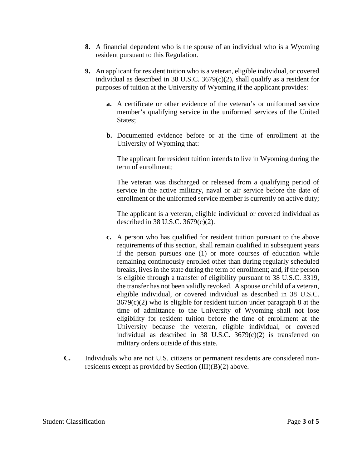- **8.** A financial dependent who is the spouse of an individual who is a Wyoming resident pursuant to this Regulation.
- **9.** An applicant for resident tuition who is a veteran, eligible individual, or covered individual as described in 38 U.S.C.  $3679(c)(2)$ , shall qualify as a resident for purposes of tuition at the University of Wyoming if the applicant provides:
	- **a.** A certificate or other evidence of the veteran's or uniformed service member's qualifying service in the uniformed services of the United States;
	- **b.** Documented evidence before or at the time of enrollment at the University of Wyoming that:

The applicant for resident tuition intends to live in Wyoming during the term of enrollment;

The veteran was discharged or released from a qualifying period of service in the active military, naval or air service before the date of enrollment or the uniformed service member is currently on active duty;

The applicant is a veteran, eligible individual or covered individual as described in 38 U.S.C. 3679(c)(2).

- **c.** A person who has qualified for resident tuition pursuant to the above requirements of this section, shall remain qualified in subsequent years if the person pursues one (1) or more courses of education while remaining continuously enrolled other than during regularly scheduled breaks, lives in the state during the term of enrollment; and, if the person is eligible through a transfer of eligibility pursuant to 38 U.S.C. 3319, the transfer has not been validly revoked. A spouse or child of a veteran, eligible individual, or covered individual as described in 38 U.S.C.  $3679(c)(2)$  who is eligible for resident tuition under paragraph 8 at the time of admittance to the University of Wyoming shall not lose eligibility for resident tuition before the time of enrollment at the University because the veteran, eligible individual, or covered individual as described in 38 U.S.C. 3679(c)(2) is transferred on military orders outside of this state.
- **C.** Individuals who are not U.S. citizens or permanent residents are considered nonresidents except as provided by Section (III)(B)(2) above.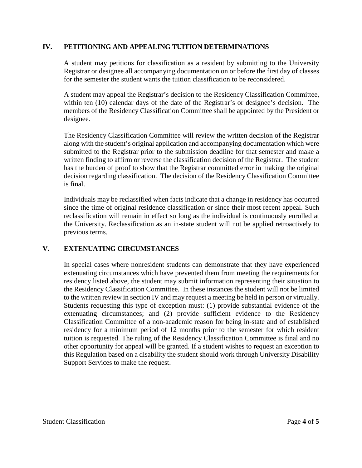### **IV. PETITIONING AND APPEALING TUITION DETERMINATIONS**

A student may petitions for classification as a resident by submitting to the University Registrar or designee all accompanying documentation on or before the first day of classes for the semester the student wants the tuition classification to be reconsidered.

A student may appeal the Registrar's decision to the Residency Classification Committee, within ten (10) calendar days of the date of the Registrar's or designee's decision. The members of the Residency Classification Committee shall be appointed by the President or designee.

The Residency Classification Committee will review the written decision of the Registrar along with the student's original application and accompanying documentation which were submitted to the Registrar prior to the submission deadline for that semester and make a written finding to affirm or reverse the classification decision of the Registrar. The student has the burden of proof to show that the Registrar committed error in making the original decision regarding classification. The decision of the Residency Classification Committee is final.

Individuals may be reclassified when facts indicate that a change in residency has occurred since the time of original residence classification or since their most recent appeal. Such reclassification will remain in effect so long as the individual is continuously enrolled at the University. Reclassification as an in-state student will not be applied retroactively to previous terms.

### **V. EXTENUATING CIRCUMSTANCES**

In special cases where nonresident students can demonstrate that they have experienced extenuating circumstances which have prevented them from meeting the requirements for residency listed above, the student may submit information representing their situation to the Residency Classification Committee. In these instances the student will not be limited to the written review in section IV and may request a meeting be held in person or virtually. Students requesting this type of exception must: (1) provide substantial evidence of the extenuating circumstances; and (2) provide sufficient evidence to the Residency Classification Committee of a non-academic reason for being in-state and of established residency for a minimum period of 12 months prior to the semester for which resident tuition is requested. The ruling of the Residency Classification Committee is final and no other opportunity for appeal will be granted. If a student wishes to request an exception to this Regulation based on a disability the student should work through University Disability Support Services to make the request.